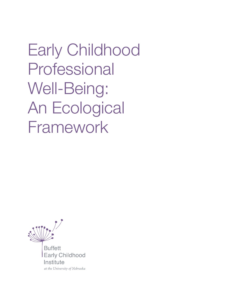Early Childhood Professional Well-Being: An Ecological Framework

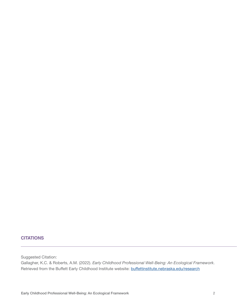#### **CITATIONS**

Suggested Citation:

Gallagher, K.C. & Roberts, A.M. (2022). *Early Childhood Professional Well-Being: An Ecological Framework*. Retrieved from the Buffett Early Childhood Institute website: buffettinstitute.nebraska.edu/research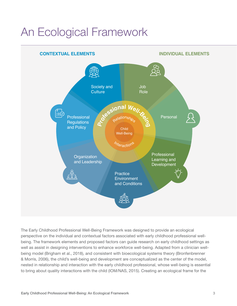## An Ecological Framework



The Early Childhood Professional Well-Being Framework was designed to provide an ecological perspective on the individual and contextual factors associated with early childhood professional wellbeing. The framework elements and proposed factors can guide research on early childhood settings as well as assist in designing interventions to enhance workforce well-being. Adapted from a clinician wellbeing model (Brigham et al., 2018), and consistent with bioecological systems theory (Bronfenbrenner & Morris, 2006), the child's well-being and development are conceptualized as the center of the model, nested in relationship and interaction with the early childhood professional, whose well-being is essential to bring about quality interactions with the child (IOM/NAS, 2015). Creating an ecological frame for the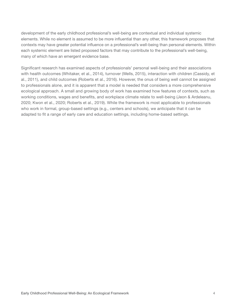development of the early childhood professional's well-being are contextual and individual systemic elements. While no element is assumed to be more influential than any other, this framework proposes that contexts may have greater potential influence on a professional's well-being than personal elements. Within each systemic element are listed proposed factors that may contribute to the professional's well-being, many of which have an emergent evidence base.

Significant research has examined aspects of professionals' personal well-being and their associations with health outcomes (Whitaker, et al., 2014), turnover (Wells, 2015), interaction with children (Cassidy, et al., 2011), and child outcomes (Roberts et al., 2016). However, the onus of being well cannot be assigned to professionals alone, and it is apparent that a model is needed that considers a more comprehensive ecological approach. A small and growing body of work has examined how features of contexts, such as working conditions, wages and benefits, and workplace climate relate to well-being (Jeon & Ardeleanu, 2020; Kwon et al., 2020; Roberts et al., 2019). While the framework is most applicable to professionals who work in formal, group-based settings (e.g., centers and schools), we anticipate that it can be adapted to fit a range of early care and education settings, including home-based settings.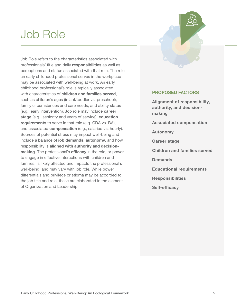### Job Role

Job Role refers to the characteristics associated with professionals' title and daily responsibilities as well as perceptions and status associated with that role. The role an early childhood professional serves in the workplace may be associated with well-being at work. An early childhood professional's role is typically associated with characteristics of children and families served, such as children's ages (infant/toddler vs. preschool), family circumstances and care needs, and ability status (e.g., early intervention). Job role may include career stage (e.g., seniority and years of service), education requirements to serve in that role (e.g. CDA vs. BA), and associated **compensation** (e.g., salaried vs. hourly). Sources of potential stress may impact well-being and include a balance of job demands, autonomy, and how responsibility is aligned with authority and decisionmaking. The professional's efficacy in the role, or power to engage in effective interactions with children and families, is likely affected and impacts the professional's well-being, and may vary with job role. While power differentials and privilege or stigma may be accorded to the job title and role, these are elaborated in the element of Organization and Leadership.



#### **PROPOSED FACTORS**

Alignment of responsibility, authority, and decisionmaking

Associated compensation

Autonomy

Career stage

Children and families served

**Demands** 

Educational requirements

Responsibilities

Self-efficacy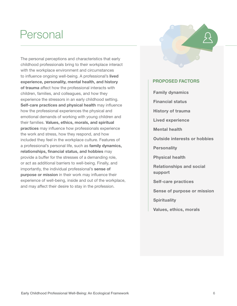### Personal

The personal perceptions and characteristics that early childhood professionals bring to their workplace interact with the workplace environment and circumstances to influence ongoing well-being. A professional's lived experience, personality, mental health, and history of trauma affect how the professional interacts with children, families, and colleagues, and how they experience the stressors in an early childhood setting. Self-care practices and physical health may influence how the professional experiences the physical and emotional demands of working with young children and their families. Values, ethics, morals, and spiritual practices may influence how professionals experience the work and stress, how they respond, and how included they feel in the workplace culture. Features of a professional's personal life, such as family dynamics, relationships, financial status, and hobbies may provide a buffer for the stresses of a demanding role, or act as additional barriers to well-being. Finally, and importantly, the individual professional's sense of purpose or mission in their work may influence their experience of well-being, inside and out of the workplace, and may affect their desire to stay in the profession.

#### **PROPOSED FACTORS**

Family dynamics Financial status History of trauma Lived experience Mental health Outside interests or hobbies **Personality** Physical health Relationships and social support Self-care practices Sense of purpose or mission **Spirituality** Values, ethics, morals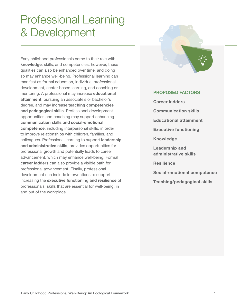### Professional Learning & Development

Early childhood professionals come to their role with knowledge, skills, and competencies; however, these qualities can also be enhanced over time, and doing so may enhance well-being. Professional learning can manifest as formal education, individual professional development, center-based learning, and coaching or mentoring. A professional may increase educational attainment, pursuing an associate's or bachelor's degree, and may increase teaching competencies and pedagogical skills. Professional development opportunities and coaching may support enhancing communication skills and social-emotional competence, including interpersonal skills, in order to improve relationships with children, families, and colleagues. Professional learning to support leadership and administrative skills, provides opportunities for professional growth and potentially leads to career advancement, which may enhance well-being. Formal career ladders can also provide a visible path for professional advancement. Finally, professional development can include interventions to support increasing the executive functioning and resilience of professionals, skills that are essential for well-being, in and out of the workplace.



#### **PROPOSED FACTORS**

Career ladders

Communication skills

Educational attainment

Executive functioning

Knowledge

Leadership and administrative skills

**Resilience** 

Social-emotional competence

Teaching/pedagogical skills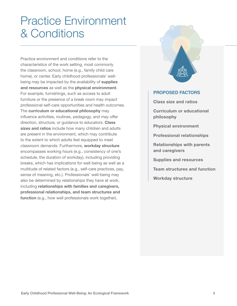### Practice Environment & Conditions

Practice environment and conditions refer to the characteristics of the work setting, most commonly the classroom, school, home (e.g., family child care home), or center. Early childhood professionals' wellbeing may be impacted by the availability of supplies and resources as well as the physical environment. For example, furnishings, such as access to adult furniture or the presence of a break room may impact professional self-care opportunities and health outcomes. The curriculum or educational philosophy may influence activities, routines, pedagogy, and may offer direction, structure, or guidance to educators. Class sizes and ratios include how many children and adults are present in the environment, which may contribute to the extent to which adults feel equipped to meet classroom demands. Furthermore, workday structure encompasses working hours (e.g., consistency of one's schedule, the duration of workday), including providing breaks, which has implications for well-being as well as a multitude of related factors (e.g., self-care practices, pay, sense of meaning, etc.). Professionals' well-being may also be determined by relationships they have at work, including relationships with families and caregivers, professional relationships, and team structures and function (e.g., how well professionals work together).



#### **PROPOSED FACTORS**

Class size and ratios

Curriculum or educational philosophy

Physical environment

Professional relationships

Relationships with parents and caregivers

Supplies and resources

Team structures and function

Workday structure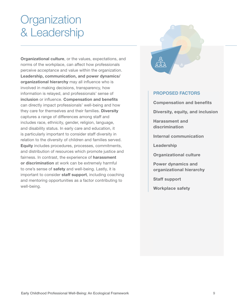### **Organization** & Leadership

Organizational culture, or the values, expectations, and norms of the workplace, can affect how professionals perceive acceptance and value within the organization. Leadership, communication, and power dynamics/ organizational hierarchy may all influence who is involved in making decisions, transparency, how information is relayed, and professionals' sense of inclusion or influence. Compensation and benefits can directly impact professionals' well-being and how they care for themselves and their families. Diversity captures a range of differences among staff and includes race, ethnicity, gender, religion, language, and disability status. In early care and education, it is particularly important to consider staff diversity in relation to the diversity of children and families served. Equity includes procedures, processes, commitments, and distribution of resources which promote justice and fairness. In contrast, the experience of harassment or discrimination at work can be extremely harmful to one's sense of **safety** and well-being. Lastly, it is important to consider staff support, including coaching and mentoring opportunities as a factor contributing to well-being.



### **PROPOSED FACTORS**

Compensation and benefits

Diversity, equity, and inclusion

Harassment and discrimination

Internal communication

Leadership

Organizational culture

Power dynamics and organizational hierarchy

Staff support

Workplace safety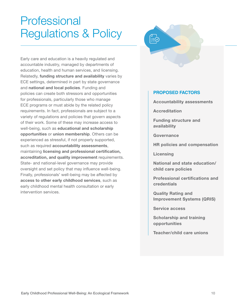### **Professional** Regulations & Policy

Early care and education is a heavily regulated and accountable industry, managed by departments of education, health and human services, and licensing. Relatedly, funding structure and availability varies by ECE settings, determined in part by state governance and national and local policies. Funding and policies can create both stressors and opportunities for professionals, particularly those who manage ECE programs or must abide by the related policy requirements. In fact, professionals are subject to a variety of regulations and policies that govern aspects of their work. Some of these may increase access to well-being, such as educational and scholarship opportunities or union membership. Others can be experienced as stressful, if not properly supported, such as required accountability assessments, maintaining licensing and professional certification, accreditation, and quality improvement requirements. State- and national-level governance may provide oversight and set policy that may influence well-being. Finally, professionals' well-being may be affected by access to other early childhood services, such as early childhood mental health consultation or early intervention services.



### **PROPOSED FACTORS**

Accountability assessments

**Accreditation** 

Funding structure and availability

**Governance** 

HR policies and compensation

Licensing

National and state education/ child care policies

Professional certifications and credentials

Quality Rating and Improvement Systems (QRIS)

Service access

Scholarship and training opportunities

Teacher/child care unions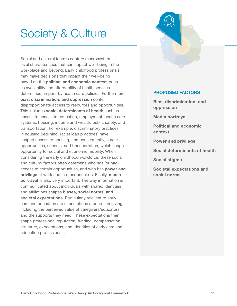### Society & Culture

Social and cultural factors capture macrosystemlevel characteristics that can impact well-being in the workplace and beyond. Early childhood professionals may make decisions that impact their well-being based on the **political and economic context**, such as availability and affordability of health services determined, in part, by health care policies. Furthermore, bias, discrimination, and oppression confer disproportionate access to resources and opportunities. This includes social determinants of health such as access to access to education, employment, health care systems, housing, income and wealth, public safety, and transportation. For example, discriminatory practices in housing (redlining; racist loan practices) have shaped access to housing, and consequently, career opportunities, schools, and transportation, which shape opportunity for social and economic mobility. When considering the early childhood workforce, these social and cultural factors often determine who has (or had) access to certain opportunities, and who has power and privilege at work and in other contexts. Finally, media portrayal is also very important. The way information is communicated about individuals with shared identities and affiliations shapes biases, social norms, and societal expectations. Particularly relevant to early care and education are expectations around caregiving, including the perceived value of caregivers/educators and the supports they need. These expectations then shape professional reputation, funding, compensation structure, expectations, and identities of early care and education professionals.



#### **PROPOSED FACTORS**

Bias, discrimination, and oppression

Media portrayal

Political and economic context

Power and privilege

Social determinants of health

Social stigma

Societal expectations and social norms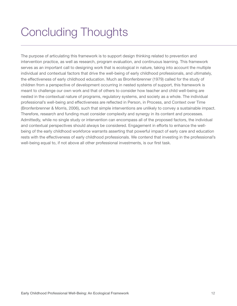# Concluding Thoughts

The purpose of articulating this framework is to support design thinking related to prevention and intervention practice, as well as research, program evaluation, and continuous learning. This framework serves as an important call to designing work that is ecological in nature, taking into account the multiple individual and contextual factors that drive the well-being of early childhood professionals, and ultimately, the effectiveness of early childhood education. Much as Bronfenbrenner (1979) called for the study of children from a perspective of development occurring in nested systems of support, this framework is meant to challenge our own work and that of others to consider how teacher and child well-being are nested in the contextual nature of programs, regulatory systems, and society as a whole. The individual professional's well-being and effectiveness are reflected in Person, in Process, and Context over Time (Bronfenbrenner & Morris, 2006), such that simple interventions are unlikely to convey a sustainable impact. Therefore, research and funding must consider complexity and synergy in its content and processes. Admittedly, while no single study or intervention can encompass all of the proposed factors, the individual and contextual perspectives should always be considered. Engagement in efforts to enhance the wellbeing of the early childhood workforce warrants asserting that powerful impact of early care and education rests with the effectiveness of early childhood professionals. We contend that investing in the professional's well-being equal to, if not above all other professional investments, is our first task.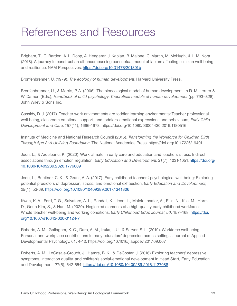### References and Resources

Brigham, T., C. Barden, A. L. Dopp, A. Hengerer, J. Kaplan, B. Malone, C. Martin, M. McHugh, & L. M. Nora. (2018). A journey to construct an all-encompassing conceptual model of factors affecting clinician well-being and resilience. NAM Perspectives. https://doi.org/10.31478/201801b

Bronfenbrenner, U. (1979). *The ecology of human development*. Harvard University Press.

Bronfenbrenner, U., & Morris, P. A. (2006). The bioecological model of human development. In R. M. Lerner & W. Damon (Eds.), *Handbook of child psychology: Theoretical models of human development* (pp. 793–828). John Wiley & Sons Inc.

Cassidy, D. J. (2017). Teacher work environments are toddler learning environments: Teacher professional well-being, classroom emotional support, and toddlers' emotional expressions and behaviours, *Early Child Development and Care, 187*(11), 1666-1678. https://doi.org/10.1080/03004430.2016.1180516

Institute of Medicine and National Research Council (2015). *Transforming the Workforce for Children Birth Through Age 8: A Unifying Foundation*. The National Academies Press. https://doi.org/10.17226/19401.

Jeon, L., & Ardeleanu, K. (2020). Work climate in early care and education and teachers' stress: Indirect associations through emotion regulation. *Early Education and Development, 31*(7), 1031-1051. https://doi.org/ 10.1080/10409289.2020.1776809

Jeon, L., Buettner, C. K., & Grant, A. A. (2017). Early childhood teachers' psychological well-being: Exploring potential predictors of depression, stress, and emotional exhaustion. *Early Education and Development, 29*(1), 53-69. https://doi.org/10.1080/10409289.2017.1341806

Kwon, K. A., Ford, T. G., Salvatore, A. L., Randall, K., Jeon, L., Malek-Lasater, A., Ellis, N., Kile, M., Horm, D., Geun Kim, S., & Han, M. (2020). Neglected elements of a high-quality early childhood workforce: Whole teacher well-being and working conditions. *Early Childhood Educ Journal, 50*, 157–168. https://doi. org/10.1007/s10643-020-01124-7

Roberts, A. M., Gallagher, K. C., Daro, A. M., Iruka, I. U., & Sarver, S. L. (2019). Workforce well-being: Personal and workplace contributions to early educators' depression across settings. Journal of Applied Developmental Psychology, 61, 4-12. https://doi.org/10.1016/j.appdev.2017.09.007

Roberts, A. M., LoCasale-Crouch, J., Hamre, B. K., & DeCoster, J. (2016) Exploring teachers' depressive symptoms, interaction quality, and children's social-emotional development in Head Start, Early Education and Development, 27(5), 642-654. https://doi.org/10.1080/10409289.2016.1127088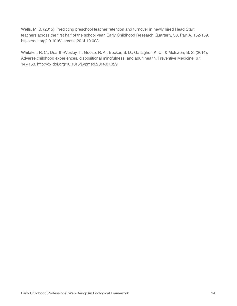Wells, M. B. (2015). Predicting preschool teacher retention and turnover in newly hired Head Start teachers across the first half of the school year. Early Childhood Research Quarterly, 30, Part A, 152-159. https://doi.org/10.1016/j.ecresq.2014.10.003

Whitaker, R. C., Dearth-Wesley, T., Gooze, R. A., Becker, B. D., Gallagher, K. C., & McEwen, B. S. (2014). Adverse childhood experiences, dispositional mindfulness, and adult health. Preventive Medicine, 67, 147-153. http://dx.doi.org/10.1016/j.ypmed.2014.07.029